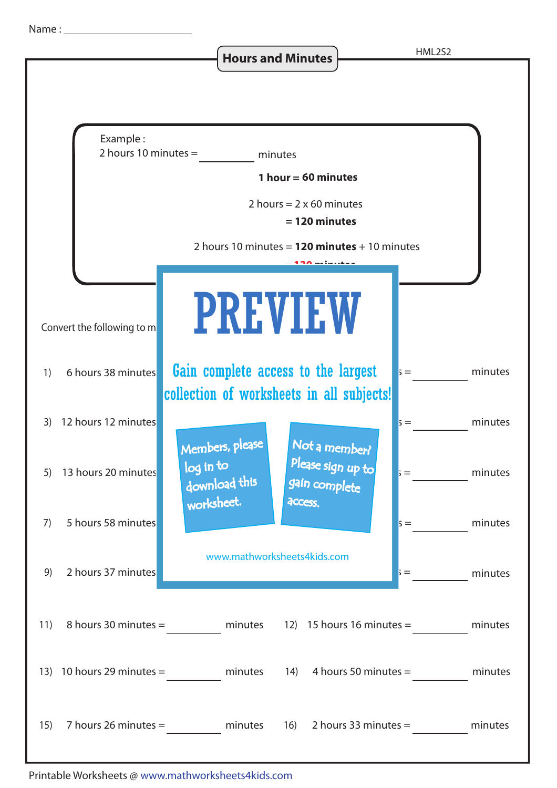**Hours and Minutes**